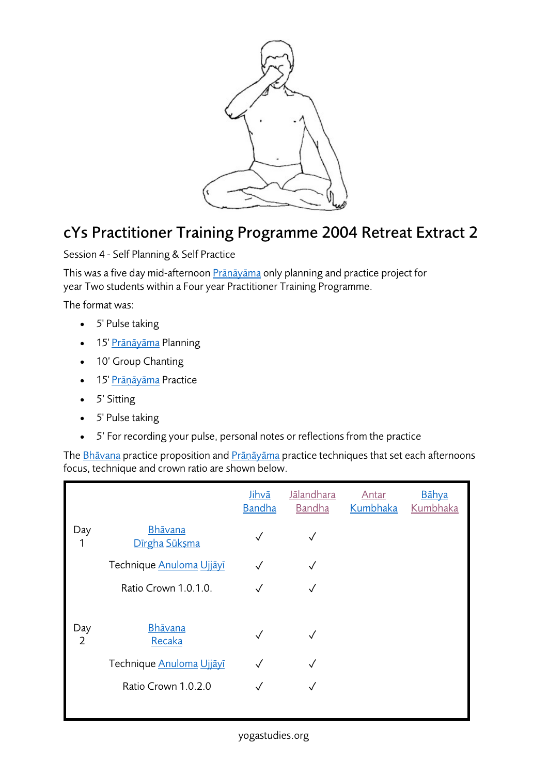

## cYs Practitioner Training Programme 2004 Retreat Extract 2

Session 4 - Self Planning & Self Practice

This was a five day mid-afternoon Prāṇāyāma only planning and practice project for year Two students within a Four year Practitioner Training Programme.

The format was:

- 5' Pulse taking
- 15' <u>Prāṇāyāma</u> Planning
- 10' Group Chanting
- 15' Prāṇāyāma Practice
- 5' Sitting
- 5' Pulse taking
- 5' For recording your pulse, personal notes or reflections from the practice

The Bhāvana practice proposition and Prāṇāyāma practice techniques that set each afternoons focus, technique and crown ratio are shown below.

|                       |                                 | Jihvā<br><b>Bandha</b> | <b>J</b> ālandhara<br>Bandha | Antar<br>Kumbhaka | Bāhya<br>Kumbhaka |
|-----------------------|---------------------------------|------------------------|------------------------------|-------------------|-------------------|
| Day<br>1              | <u>Bhāvana</u><br>Dīrgha Sūksma | $\checkmark$           |                              |                   |                   |
|                       | Technique Anuloma Ujjāvī        |                        |                              |                   |                   |
|                       | Ratio Crown 1.0.1.0.            |                        |                              |                   |                   |
|                       |                                 |                        |                              |                   |                   |
| Day<br>$\overline{2}$ | Bhāvana<br>Recaka               | $\checkmark$           |                              |                   |                   |
|                       | Technique Anuloma Ujjāyī        |                        |                              |                   |                   |
|                       | Ratio Crown 1.0.2.0             |                        |                              |                   |                   |
|                       |                                 |                        |                              |                   |                   |